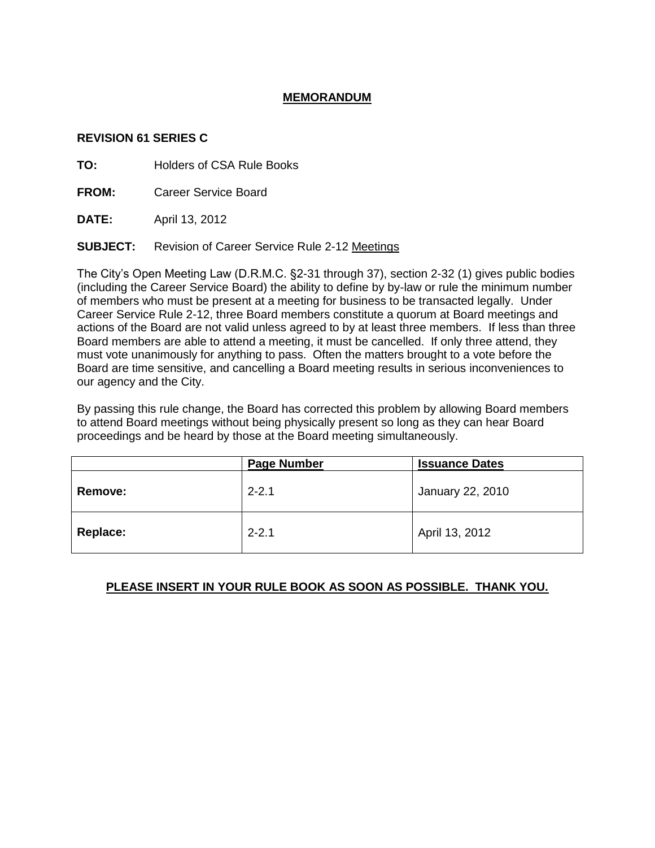# **MEMORANDUM**

#### **REVISION 61 SERIES C**

**TO:** Holders of CSA Rule Books

**FROM:** Career Service Board

**DATE:** April 13, 2012

**SUBJECT:** Revision of Career Service Rule 2-12 Meetings

The City's Open Meeting Law (D.R.M.C. §2-31 through 37), section 2-32 (1) gives public bodies (including the Career Service Board) the ability to define by by-law or rule the minimum number of members who must be present at a meeting for business to be transacted legally. Under Career Service Rule 2-12, three Board members constitute a quorum at Board meetings and actions of the Board are not valid unless agreed to by at least three members. If less than three Board members are able to attend a meeting, it must be cancelled. If only three attend, they must vote unanimously for anything to pass. Often the matters brought to a vote before the Board are time sensitive, and cancelling a Board meeting results in serious inconveniences to our agency and the City.

By passing this rule change, the Board has corrected this problem by allowing Board members to attend Board meetings without being physically present so long as they can hear Board proceedings and be heard by those at the Board meeting simultaneously.

|                | <b>Page Number</b> | <b>Issuance Dates</b> |
|----------------|--------------------|-----------------------|
| <b>Remove:</b> | $2 - 2.1$          | January 22, 2010      |
| Replace:       | $2 - 2.1$          | April 13, 2012        |

# **PLEASE INSERT IN YOUR RULE BOOK AS SOON AS POSSIBLE. THANK YOU.**